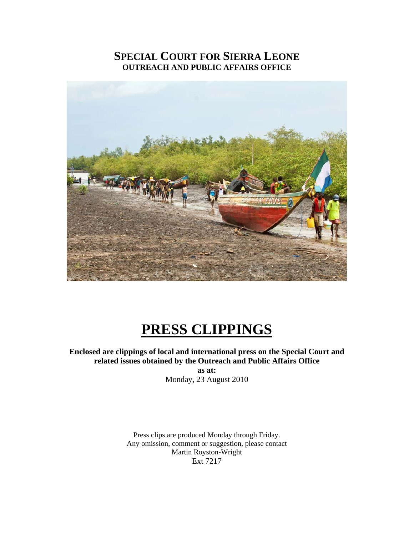# **SPECIAL COURT FOR SIERRA LEONE OUTREACH AND PUBLIC AFFAIRS OFFICE**



# **PRESS CLIPPINGS**

**Enclosed are clippings of local and international press on the Special Court and related issues obtained by the Outreach and Public Affairs Office as at:**  Monday, 23 August 2010

> Press clips are produced Monday through Friday. Any omission, comment or suggestion, please contact Martin Royston-Wright Ext 7217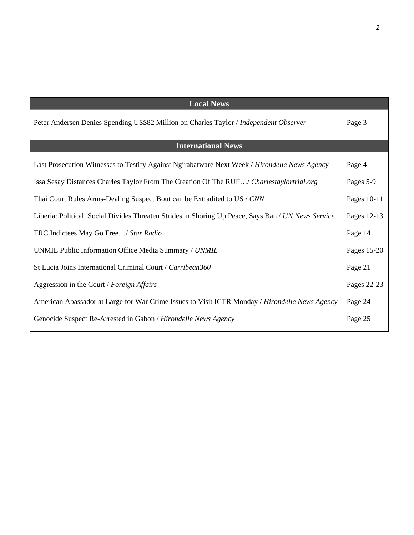| <b>Local News</b>                                                                                   |             |
|-----------------------------------------------------------------------------------------------------|-------------|
| Peter Andersen Denies Spending US\$82 Million on Charles Taylor / Independent Observer              | Page 3      |
| <b>International News</b>                                                                           |             |
| Last Prosecution Witnesses to Testify Against Ngirabatware Next Week / Hirondelle News Agency       | Page 4      |
| Issa Sesay Distances Charles Taylor From The Creation Of The RUF/ Charlestaylortrial.org            | Pages 5-9   |
| Thai Court Rules Arms-Dealing Suspect Bout can be Extradited to US / CNN                            | Pages 10-11 |
| Liberia: Political, Social Divides Threaten Strides in Shoring Up Peace, Says Ban / UN News Service | Pages 12-13 |
| TRC Indictees May Go Free/ Star Radio                                                               | Page 14     |
| UNMIL Public Information Office Media Summary / UNMIL                                               | Pages 15-20 |
| St Lucia Joins International Criminal Court / Carribean360                                          | Page 21     |
| Aggression in the Court / Foreign Affairs                                                           | Pages 22-23 |
| American Abassador at Large for War Crime Issues to Visit ICTR Monday / Hirondelle News Agency      | Page 24     |
| Genocide Suspect Re-Arrested in Gabon / Hirondelle News Agency                                      | Page 25     |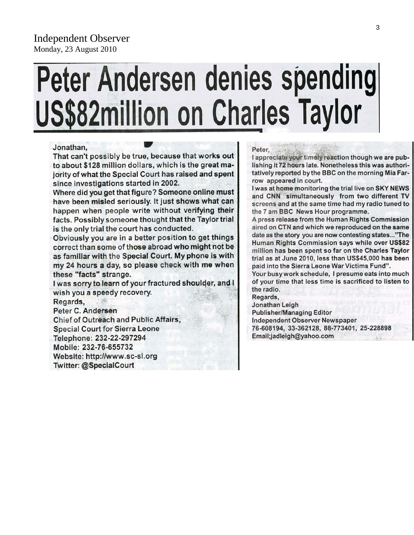# Peter Andersen denies spending **US\$82million on Charles Taylor**

#### Jonathan,

That can't possibly be true, because that works out to about \$128 million dollars, which is the great majority of what the Special Court has raised and spent since investigations started in 2002.

Where did you get that figure? Someone online must have been misled seriously. It just shows what can happen when people write without verifying their facts. Possibly someone thought that the Taylor trial is the only trial the court has conducted.

Obviously you are in a better position to get things correct than some of those abroad who might not be as familiar with the Special Court. My phone is with my 24 hours a day, so please check with me when these "facts" strange.

I was sorry to learn of your fractured shoulder, and I wish you a speedy recovery.

Regards,

Peter C. Andersen

Chief of Outreach and Public Affairs, **Special Court for Sierra Leone** Telephone: 232-22-297294 Mobile: 232-76-655732 Website: http://www.sc-sl.org Twitter: @SpecialCourt

#### Peter.

I appreciate your timely reaction though we are publishing it 72 hours late. Nonetheless this was authoritatively reported by the BBC on the morning Mia Farrow appeared in court.

I was at home monitoring the trial live on SKY NEWS and CNN simultaneously from two different TV screens and at the same time had my radio tuned to the 7 am BBC News Hour programme.

A press release from the Human Rights Commission aired on CTN and which we reproduced on the same date as the story you are now contesting states..."The Human Rights Commission says while over US\$82 million has been spent so far on the Charles Taylor trial as at June 2010, less than US\$45,000 has been paid into the Sierra Leone War Victims Fund".

Your busy work schedule, I presume eats into much of your time that less time is sacrificed to listen to the radio.

Regards, Jonathan Leigh

**Publisher/Managing Editor** Independent Observer Newspaper 76-608194, 33-362128, 88-773401, 25-228898 Email;jadleigh@yahoo.com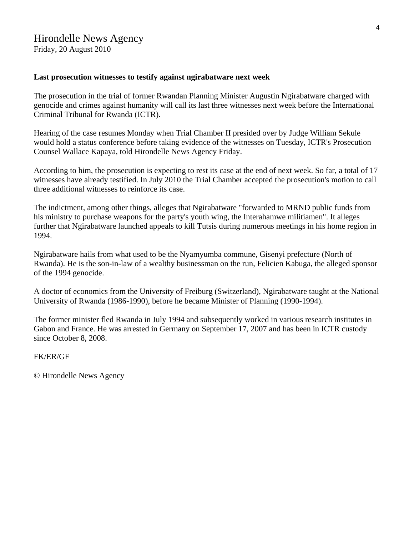# Hirondelle News Agency

Friday, 20 August 2010

#### **Last prosecution witnesses to testify against ngirabatware next week**

The prosecution in the trial of former Rwandan Planning Minister Augustin Ngirabatware charged with genocide and crimes against humanity will call its last three witnesses next week before the International Criminal Tribunal for Rwanda (ICTR).

Hearing of the case resumes Monday when Trial Chamber II presided over by Judge William Sekule would hold a status conference before taking evidence of the witnesses on Tuesday, ICTR's Prosecution Counsel Wallace Kapaya, told Hirondelle News Agency Friday.

According to him, the prosecution is expecting to rest its case at the end of next week. So far, a total of 17 witnesses have already testified. In July 2010 the Trial Chamber accepted the prosecution's motion to call three additional witnesses to reinforce its case.

The indictment, among other things, alleges that Ngirabatware "forwarded to MRND public funds from his ministry to purchase weapons for the party's youth wing, the Interahamwe militiamen". It alleges further that Ngirabatware launched appeals to kill Tutsis during numerous meetings in his home region in 1994.

Ngirabatware hails from what used to be the Nyamyumba commune, Gisenyi prefecture (North of Rwanda). He is the son-in-law of a wealthy businessman on the run, Felicien Kabuga, the alleged sponsor of the 1994 genocide.

A doctor of economics from the University of Freiburg (Switzerland), Ngirabatware taught at the National University of Rwanda (1986-1990), before he became Minister of Planning (1990-1994).

The former minister fled Rwanda in July 1994 and subsequently worked in various research institutes in Gabon and France. He was arrested in Germany on September 17, 2007 and has been in ICTR custody since October 8, 2008.

FK/ER/GF

© Hirondelle News Agency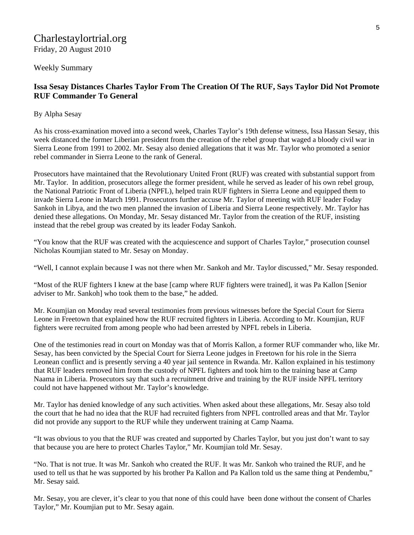# Charlestaylortrial.org Friday, 20 August 2010

Weekly Summary

# **Issa Sesay Distances Charles Taylor From The Creation Of The RUF, Says Taylor Did Not Promote RUF Commander To General**

#### By Alpha Sesay

As his cross-examination moved into a second week, Charles Taylor's 19th defense witness, Issa Hassan Sesay, this week distanced the former Liberian president from the creation of the rebel group that waged a bloody civil war in Sierra Leone from 1991 to 2002. Mr. Sesay also denied allegations that it was Mr. Taylor who promoted a senior rebel commander in Sierra Leone to the rank of General.

Prosecutors have maintained that the Revolutionary United Front (RUF) was created with substantial support from Mr. Taylor. In addition, prosecutors allege the former president, while he served as leader of his own rebel group, the National Patriotic Front of Liberia (NPFL), helped train RUF fighters in Sierra Leone and equipped them to invade Sierra Leone in March 1991. Prosecutors further accuse Mr. Taylor of meeting with RUF leader Foday Sankoh in Libya, and the two men planned the invasion of Liberia and Sierra Leone respectively. Mr. Taylor has denied these allegations. On Monday, Mr. Sesay distanced Mr. Taylor from the creation of the RUF, insisting instead that the rebel group was created by its leader Foday Sankoh.

"You know that the RUF was created with the acquiescence and support of Charles Taylor," prosecution counsel Nicholas Koumjian stated to Mr. Sesay on Monday.

"Well, I cannot explain because I was not there when Mr. Sankoh and Mr. Taylor discussed," Mr. Sesay responded.

"Most of the RUF fighters I knew at the base [camp where RUF fighters were trained], it was Pa Kallon [Senior adviser to Mr. Sankoh] who took them to the base," he added.

Mr. Koumjian on Monday read several testimonies from previous witnesses before the Special Court for Sierra Leone in Freetown that explained how the RUF recruited fighters in Liberia. According to Mr. Koumjian, RUF fighters were recruited from among people who had been arrested by NPFL rebels in Liberia.

One of the testimonies read in court on Monday was that of Morris Kallon, a former RUF commander who, like Mr. Sesay, has been convicted by the Special Court for Sierra Leone judges in Freetown for his role in the Sierra Leonean conflict and is presently serving a 40 year jail sentence in Rwanda. Mr. Kallon explained in his testimony that RUF leaders removed him from the custody of NPFL fighters and took him to the training base at Camp Naama in Liberia. Prosecutors say that such a recruitment drive and training by the RUF inside NPFL territory could not have happened without Mr. Taylor's knowledge.

Mr. Taylor has denied knowledge of any such activities. When asked about these allegations, Mr. Sesay also told the court that he had no idea that the RUF had recruited fighters from NPFL controlled areas and that Mr. Taylor did not provide any support to the RUF while they underwent training at Camp Naama.

"It was obvious to you that the RUF was created and supported by Charles Taylor, but you just don't want to say that because you are here to protect Charles Taylor," Mr. Koumjian told Mr. Sesay.

"No. That is not true. It was Mr. Sankoh who created the RUF. It was Mr. Sankoh who trained the RUF, and he used to tell us that he was supported by his brother Pa Kallon and Pa Kallon told us the same thing at Pendembu," Mr. Sesay said.

Mr. Sesay, you are clever, it's clear to you that none of this could have been done without the consent of Charles Taylor," Mr. Koumjian put to Mr. Sesay again.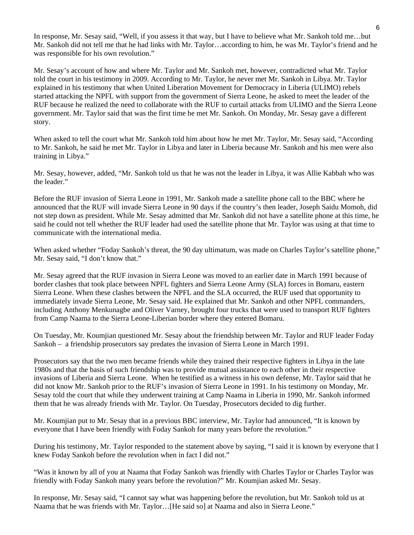In response, Mr. Sesay said, "Well, if you assess it that way, but I have to believe what Mr. Sankoh told me…but Mr. Sankoh did not tell me that he had links with Mr. Taylor…according to him, he was Mr. Taylor's friend and he was responsible for his own revolution."

Mr. Sesay's account of how and where Mr. Taylor and Mr. Sankoh met, however, contradicted what Mr. Taylor told the court in his testimony in 2009. According to Mr. Taylor, he never met Mr. Sankoh in Libya. Mr. Taylor explained in his testimony that when United Liberation Movement for Democracy in Liberia (ULIMO) rebels started attacking the NPFL with support from the government of Sierra Leone, he asked to meet the leader of the RUF because he realized the need to collaborate with the RUF to curtail attacks from ULIMO and the Sierra Leone government. Mr. Taylor said that was the first time he met Mr. Sankoh. On Monday, Mr. Sesay gave a different story.

When asked to tell the court what Mr. Sankoh told him about how he met Mr. Taylor, Mr. Sesay said, "According to Mr. Sankoh, he said he met Mr. Taylor in Libya and later in Liberia because Mr. Sankoh and his men were also training in Libya."

Mr. Sesay, however, added, "Mr. Sankoh told us that he was not the leader in Libya, it was Allie Kabbah who was the leader."

Before the RUF invasion of Sierra Leone in 1991, Mr. Sankoh made a satellite phone call to the BBC where he announced that the RUF will invade Sierra Leone in 90 days if the country's then leader, Joseph Saidu Momoh, did not step down as president. While Mr. Sesay admitted that Mr. Sankoh did not have a satellite phone at this time, he said he could not tell whether the RUF leader had used the satellite phone that Mr. Taylor was using at that time to communicate with the international media.

When asked whether "Foday Sankoh's threat, the 90 day ultimatum, was made on Charles Taylor's satellite phone," Mr. Sesay said, "I don't know that."

Mr. Sesay agreed that the RUF invasion in Sierra Leone was moved to an earlier date in March 1991 because of border clashes that took place between NPFL fighters and Sierra Leone Army (SLA) forces in Bomaru, eastern Sierra Leone. When these clashes between the NPFL and the SLA occurred, the RUF used that opportunity to immediately invade Sierra Leone, Mr. Sesay said. He explained that Mr. Sankoh and other NPFL commanders, including Anthony Menkunagbe and Oliver Varney, brought four trucks that were used to transport RUF fighters from Camp Naama to the Sierra Leone-Liberian border where they entered Bomaru.

On Tuesday, Mr. Koumjian questioned Mr. Sesay about the friendship between Mr. Taylor and RUF leader Foday Sankoh – a friendship prosecutors say predates the invasion of Sierra Leone in March 1991.

Prosecutors say that the two men became friends while they trained their respective fighters in Libya in the late 1980s and that the basis of such friendship was to provide mutual assistance to each other in their respective invasions of Liberia and Sierra Leone. When he testified as a witness in his own defense, Mr. Taylor said that he did not know Mr. Sankoh prior to the RUF's invasion of Sierra Leone in 1991. In his testimony on Monday, Mr. Sesay told the court that while they underwent training at Camp Naama in Liberia in 1990, Mr. Sankoh informed them that he was already friends with Mr. Taylor. On Tuesday, Prosecutors decided to dig further.

Mr. Koumjian put to Mr. Sesay that in a previous BBC interview, Mr. Taylor had announced, "It is known by everyone that I have been friendly with Foday Sankoh for many years before the revolution."

During his testimony, Mr. Taylor responded to the statement above by saying, "I said it is known by everyone that I knew Foday Sankoh before the revolution when in fact I did not."

"Was it known by all of you at Naama that Foday Sankoh was friendly with Charles Taylor or Charles Taylor was friendly with Foday Sankoh many years before the revolution?" Mr. Koumjian asked Mr. Sesay.

In response, Mr. Sesay said, "I cannot say what was happening before the revolution, but Mr. Sankoh told us at Naama that he was friends with Mr. Taylor…[He said so] at Naama and also in Sierra Leone."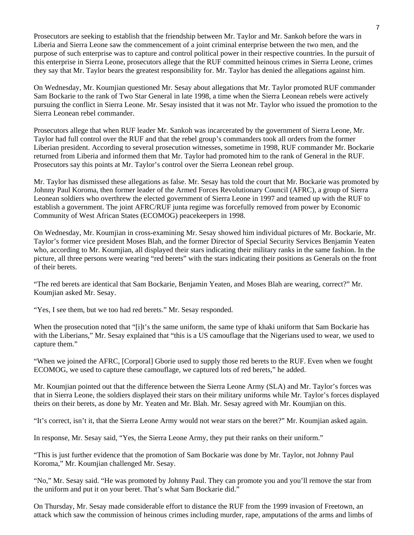Prosecutors are seeking to establish that the friendship between Mr. Taylor and Mr. Sankoh before the wars in Liberia and Sierra Leone saw the commencement of a joint criminal enterprise between the two men, and the purpose of such enterprise was to capture and control political power in their respective countries. In the pursuit of this enterprise in Sierra Leone, prosecutors allege that the RUF committed heinous crimes in Sierra Leone, crimes they say that Mr. Taylor bears the greatest responsibility for. Mr. Taylor has denied the allegations against him.

On Wednesday, Mr. Koumjian questioned Mr. Sesay about allegations that Mr. Taylor promoted RUF commander Sam Bockarie to the rank of Two Star General in late 1998, a time when the Sierra Leonean rebels were actively pursuing the conflict in Sierra Leone. Mr. Sesay insisted that it was not Mr. Taylor who issued the promotion to the Sierra Leonean rebel commander.

Prosecutors allege that when RUF leader Mr. Sankoh was incarcerated by the government of Sierra Leone, Mr. Taylor had full control over the RUF and that the rebel group's commanders took all orders from the former Liberian president. According to several prosecution witnesses, sometime in 1998, RUF commander Mr. Bockarie returned from Liberia and informed them that Mr. Taylor had promoted him to the rank of General in the RUF. Prosecutors say this points at Mr. Taylor's control over the Sierra Leonean rebel group.

Mr. Taylor has dismissed these allegations as false. Mr. Sesay has told the court that Mr. Bockarie was promoted by Johnny Paul Koroma, then former leader of the Armed Forces Revolutionary Council (AFRC), a group of Sierra Leonean soldiers who overthrew the elected government of Sierra Leone in 1997 and teamed up with the RUF to establish a government. The joint AFRC/RUF junta regime was forcefully removed from power by Economic Community of West African States (ECOMOG) peacekeepers in 1998.

On Wednesday, Mr. Koumjian in cross-examining Mr. Sesay showed him individual pictures of Mr. Bockarie, Mr. Taylor's former vice president Moses Blah, and the former Director of Special Security Services Benjamin Yeaten who, according to Mr. Koumjian, all displayed their stars indicating their military ranks in the same fashion. In the picture, all three persons were wearing "red berets" with the stars indicating their positions as Generals on the front of their berets.

"The red berets are identical that Sam Bockarie, Benjamin Yeaten, and Moses Blah are wearing, correct?" Mr. Koumjian asked Mr. Sesay.

"Yes, I see them, but we too had red berets." Mr. Sesay responded.

When the prosecution noted that "[i]t's the same uniform, the same type of khaki uniform that Sam Bockarie has with the Liberians," Mr. Sesay explained that "this is a US camouflage that the Nigerians used to wear, we used to capture them."

"When we joined the AFRC, [Corporal] Gborie used to supply those red berets to the RUF. Even when we fought ECOMOG, we used to capture these camouflage, we captured lots of red berets," he added.

Mr. Koumjian pointed out that the difference between the Sierra Leone Army (SLA) and Mr. Taylor's forces was that in Sierra Leone, the soldiers displayed their stars on their military uniforms while Mr. Taylor's forces displayed theirs on their berets, as done by Mr. Yeaten and Mr. Blah. Mr. Sesay agreed with Mr. Koumjian on this.

"It's correct, isn't it, that the Sierra Leone Army would not wear stars on the beret?" Mr. Koumjian asked again.

In response, Mr. Sesay said, "Yes, the Sierra Leone Army, they put their ranks on their uniform."

"This is just further evidence that the promotion of Sam Bockarie was done by Mr. Taylor, not Johnny Paul Koroma," Mr. Koumjian challenged Mr. Sesay.

"No," Mr. Sesay said. "He was promoted by Johnny Paul. They can promote you and you'll remove the star from the uniform and put it on your beret. That's what Sam Bockarie did."

On Thursday, Mr. Sesay made considerable effort to distance the RUF from the 1999 invasion of Freetown, an attack which saw the commission of heinous crimes including murder, rape, amputations of the arms and limbs of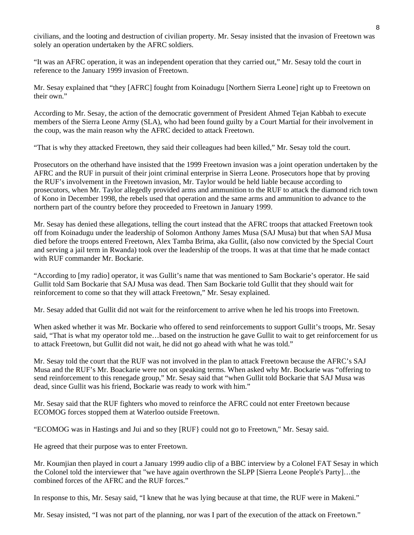civilians, and the looting and destruction of civilian property. Mr. Sesay insisted that the invasion of Freetown was solely an operation undertaken by the AFRC soldiers.

"It was an AFRC operation, it was an independent operation that they carried out," Mr. Sesay told the court in reference to the January 1999 invasion of Freetown.

Mr. Sesay explained that "they [AFRC] fought from Koinadugu [Northern Sierra Leone] right up to Freetown on their own."

According to Mr. Sesay, the action of the democratic government of President Ahmed Tejan Kabbah to execute members of the Sierra Leone Army (SLA), who had been found guilty by a Court Martial for their involvement in the coup, was the main reason why the AFRC decided to attack Freetown.

"That is why they attacked Freetown, they said their colleagues had been killed," Mr. Sesay told the court.

Prosecutors on the otherhand have insisted that the 1999 Freetown invasion was a joint operation undertaken by the AFRC and the RUF in pursuit of their joint criminal enterprise in Sierra Leone. Prosecutors hope that by proving the RUF's involvement in the Freetown invasion, Mr. Taylor would be held liable because according to prosecutors, when Mr. Taylor allegedly provided arms and ammunition to the RUF to attack the diamond rich town of Kono in December 1998, the rebels used that operation and the same arms and ammunition to advance to the northern part of the country before they proceeded to Freetown in January 1999.

Mr. Sesay has denied these allegations, telling the court instead that the AFRC troops that attacked Freetown took off from Koinadugu under the leadership of Solomon Anthony James Musa (SAJ Musa) but that when SAJ Musa died before the troops entered Freetown, Alex Tamba Brima, aka Gullit, (also now convicted by the Special Court and serving a jail term in Rwanda) took over the leadership of the troops. It was at that time that he made contact with RUF commander Mr. Bockarie.

"According to [my radio] operator, it was Gullit's name that was mentioned to Sam Bockarie's operator. He said Gullit told Sam Bockarie that SAJ Musa was dead. Then Sam Bockarie told Gullit that they should wait for reinforcement to come so that they will attack Freetown," Mr. Sesay explained.

Mr. Sesay added that Gullit did not wait for the reinforcement to arrive when he led his troops into Freetown.

When asked whether it was Mr. Bockarie who offered to send reinforcements to support Gullit's troops, Mr. Sesay said, "That is what my operator told me…based on the instruction he gave Gullit to wait to get reinforcement for us to attack Freetown, but Gullit did not wait, he did not go ahead with what he was told."

Mr. Sesay told the court that the RUF was not involved in the plan to attack Freetown because the AFRC's SAJ Musa and the RUF's Mr. Boackarie were not on speaking terms. When asked why Mr. Bockarie was "offering to send reinforcement to this renegade group," Mr. Sesay said that "when Gullit told Bockarie that SAJ Musa was dead, since Gullit was his friend, Bockarie was ready to work with him."

Mr. Sesay said that the RUF fighters who moved to reinforce the AFRC could not enter Freetown because ECOMOG forces stopped them at Waterloo outside Freetown.

"ECOMOG was in Hastings and Jui and so they [RUF} could not go to Freetown," Mr. Sesay said.

He agreed that their purpose was to enter Freetown.

Mr. Koumjian then played in court a January 1999 audio clip of a BBC interview by a Colonel FAT Sesay in which the Colonel told the interviewer that "we have again overthrown the SLPP [Sierra Leone People's Party]…the combined forces of the AFRC and the RUF forces."

In response to this, Mr. Sesay said, "I knew that he was lying because at that time, the RUF were in Makeni."

Mr. Sesay insisted, "I was not part of the planning, nor was I part of the execution of the attack on Freetown."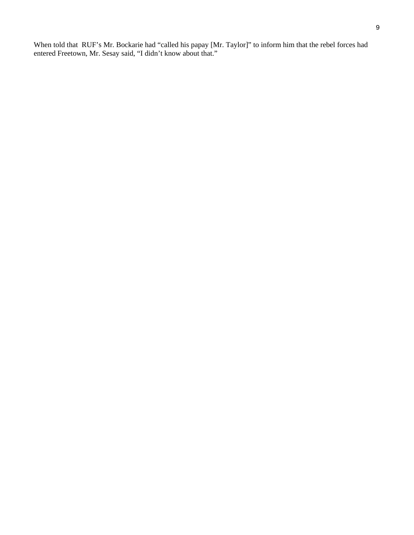When told that RUF's Mr. Bockarie had "called his papay [Mr. Taylor]" to inform him that the rebel forces had entered Freetown, Mr. Sesay said, "I didn't know about that."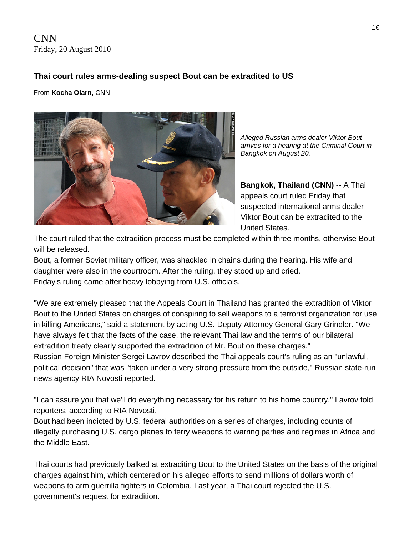CNN Friday, 20 August 2010

# **Thai court rules arms-dealing suspect Bout can be extradited to US**

From **Kocha Olarn**, CNN



*Alleged Russian arms dealer Viktor Bout arrives for a hearing at the Criminal Court in Bangkok on August 20.* 

**Bangkok, Thailand (CNN)** -- A Thai appeals court ruled Friday that suspected international arms dealer Viktor Bout can be extradited to the United States.

The court ruled that the extradition process must be completed within three months, otherwise Bout will be released.

Bout, a former Soviet military officer, was shackled in chains during the hearing. His wife and daughter were also in the courtroom. After the ruling, they stood up and cried. Friday's ruling came after heavy lobbying from U.S. officials.

"We are extremely pleased that the Appeals Court in Thailand has granted the extradition of Viktor Bout to the United States on charges of conspiring to sell weapons to a terrorist organization for use in killing Americans," said a statement by acting U.S. Deputy Attorney General Gary Grindler. "We have always felt that the facts of the case, the relevant Thai law and the terms of our bilateral extradition treaty clearly supported the extradition of Mr. Bout on these charges."

Russian Foreign Minister Sergei Lavrov described the Thai appeals court's ruling as an "unlawful, political decision" that was "taken under a very strong pressure from the outside," Russian state-run news agency RIA Novosti reported.

"I can assure you that we'll do everything necessary for his return to his home country," Lavrov told reporters, according to RIA Novosti.

Bout had been indicted by U.S. federal authorities on a series of charges, including counts of illegally purchasing U.S. cargo planes to ferry weapons to warring parties and regimes in Africa and the Middle East.

Thai courts had previously balked at extraditing Bout to the United States on the basis of the original charges against him, which centered on his alleged efforts to send millions of dollars worth of weapons to arm guerrilla fighters in Colombia. Last year, a Thai court rejected the U.S. government's request for extradition.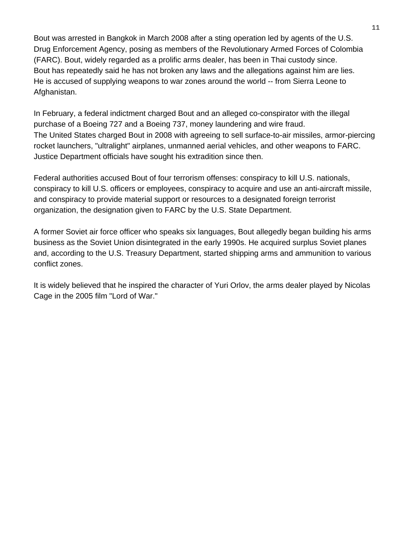Bout was arrested in Bangkok in March 2008 after a sting operation led by agents of the U.S. Drug Enforcement Agency, posing as members of the Revolutionary Armed Forces of Colombia (FARC). Bout, widely regarded as a prolific arms dealer, has been in Thai custody since. Bout has repeatedly said he has not broken any laws and the allegations against him are lies. He is accused of supplying weapons to war zones around the world -- from Sierra Leone to Afghanistan.

In February, a federal indictment charged Bout and an alleged co-conspirator with the illegal purchase of a Boeing 727 and a Boeing 737, money laundering and wire fraud. The United States charged Bout in 2008 with agreeing to sell surface-to-air missiles, armor-piercing rocket launchers, "ultralight" airplanes, unmanned aerial vehicles, and other weapons to FARC. Justice Department officials have sought his extradition since then.

Federal authorities accused Bout of four terrorism offenses: conspiracy to kill U.S. nationals, conspiracy to kill U.S. officers or employees, conspiracy to acquire and use an anti-aircraft missile, and conspiracy to provide material support or resources to a designated foreign terrorist organization, the designation given to FARC by the U.S. State Department.

A former Soviet air force officer who speaks six languages, Bout allegedly began building his arms business as the Soviet Union disintegrated in the early 1990s. He acquired surplus Soviet planes and, according to the U.S. Treasury Department, started shipping arms and ammunition to various conflict zones.

It is widely believed that he inspired the character of Yuri Orlov, the arms dealer played by Nicolas Cage in the 2005 film "Lord of War."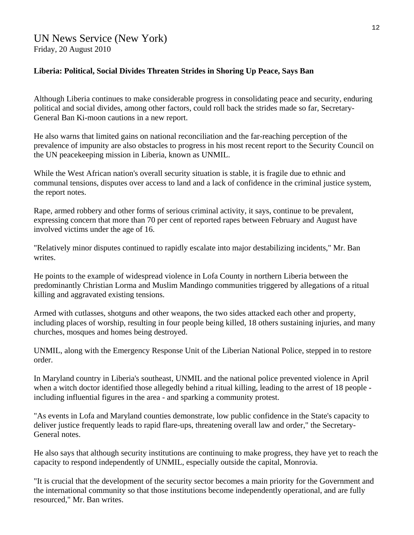# UN News Service (New York) Friday, 20 August 2010

# **Liberia: Political, Social Divides Threaten Strides in Shoring Up Peace, Says Ban**

Although Liberia continues to make considerable progress in consolidating peace and security, enduring political and social divides, among other factors, could roll back the strides made so far, Secretary-General Ban Ki-moon cautions in a new report.

He also warns that limited gains on national reconciliation and the far-reaching perception of the prevalence of impunity are also obstacles to progress in his most recent report to the Security Council on the UN peacekeeping mission in Liberia, known as UNMIL.

While the West African nation's overall security situation is stable, it is fragile due to ethnic and communal tensions, disputes over access to land and a lack of confidence in the criminal justice system, the report notes.

Rape, armed robbery and other forms of serious criminal activity, it says, continue to be prevalent, expressing concern that more than 70 per cent of reported rapes between February and August have involved victims under the age of 16.

"Relatively minor disputes continued to rapidly escalate into major destabilizing incidents," Mr. Ban writes.

He points to the example of widespread violence in Lofa County in northern Liberia between the predominantly Christian Lorma and Muslim Mandingo communities triggered by allegations of a ritual killing and aggravated existing tensions.

Armed with cutlasses, shotguns and other weapons, the two sides attacked each other and property, including places of worship, resulting in four people being killed, 18 others sustaining injuries, and many churches, mosques and homes being destroyed.

UNMIL, along with the Emergency Response Unit of the Liberian National Police, stepped in to restore order.

In Maryland country in Liberia's southeast, UNMIL and the national police prevented violence in April when a witch doctor identified those allegedly behind a ritual killing, leading to the arrest of 18 people including influential figures in the area - and sparking a community protest.

"As events in Lofa and Maryland counties demonstrate, low public confidence in the State's capacity to deliver justice frequently leads to rapid flare-ups, threatening overall law and order," the Secretary-General notes.

He also says that although security institutions are continuing to make progress, they have yet to reach the capacity to respond independently of UNMIL, especially outside the capital, Monrovia.

"It is crucial that the development of the security sector becomes a main priority for the Government and the international community so that those institutions become independently operational, and are fully resourced," Mr. Ban writes.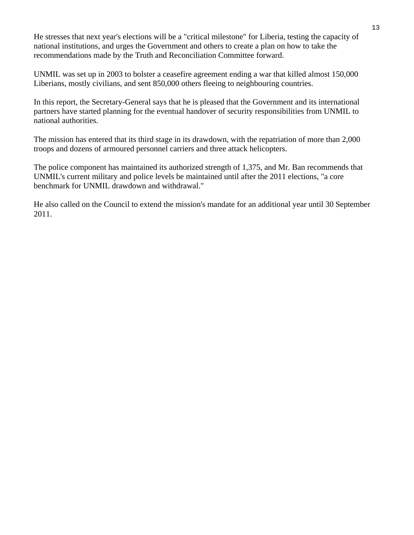He stresses that next year's elections will be a "critical milestone" for Liberia, testing the capacity of national institutions, and urges the Government and others to create a plan on how to take the recommendations made by the Truth and Reconciliation Committee forward.

UNMIL was set up in 2003 to bolster a ceasefire agreement ending a war that killed almost 150,000 Liberians, mostly civilians, and sent 850,000 others fleeing to neighbouring countries.

In this report, the Secretary-General says that he is pleased that the Government and its international partners have started planning for the eventual handover of security responsibilities from UNMIL to national authorities.

The mission has entered that its third stage in its drawdown, with the repatriation of more than 2,000 troops and dozens of armoured personnel carriers and three attack helicopters.

The police component has maintained its authorized strength of 1,375, and Mr. Ban recommends that UNMIL's current military and police levels be maintained until after the 2011 elections, "a core benchmark for UNMIL drawdown and withdrawal."

He also called on the Council to extend the mission's mandate for an additional year until 30 September 2011.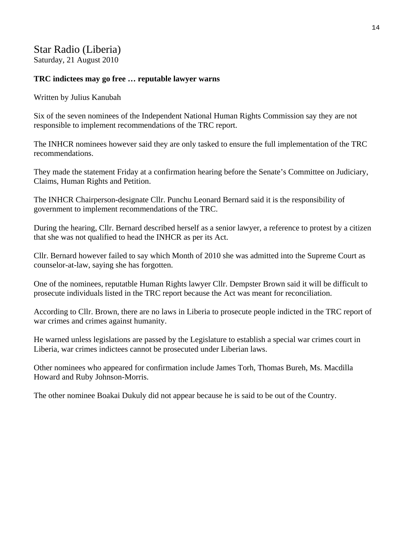# Star Radio (Liberia)

Saturday, 21 August 2010

# **TRC indictees may go free … reputable lawyer warns**

Written by Julius Kanubah

Six of the seven nominees of the Independent National Human Rights Commission say they are not responsible to implement recommendations of the TRC report.

The INHCR nominees however said they are only tasked to ensure the full implementation of the TRC recommendations.

They made the statement Friday at a confirmation hearing before the Senate's Committee on Judiciary, Claims, Human Rights and Petition.

The INHCR Chairperson-designate Cllr. Punchu Leonard Bernard said it is the responsibility of government to implement recommendations of the TRC.

During the hearing, Cllr. Bernard described herself as a senior lawyer, a reference to protest by a citizen that she was not qualified to head the INHCR as per its Act.

Cllr. Bernard however failed to say which Month of 2010 she was admitted into the Supreme Court as counselor-at-law, saying she has forgotten.

One of the nominees, reputatble Human Rights lawyer Cllr. Dempster Brown said it will be difficult to prosecute individuals listed in the TRC report because the Act was meant for reconciliation.

According to Cllr. Brown, there are no laws in Liberia to prosecute people indicted in the TRC report of war crimes and crimes against humanity.

He warned unless legislations are passed by the Legislature to establish a special war crimes court in Liberia, war crimes indictees cannot be prosecuted under Liberian laws.

Other nominees who appeared for confirmation include James Torh, Thomas Bureh, Ms. Macdilla Howard and Ruby Johnson-Morris.

The other nominee Boakai Dukuly did not appear because he is said to be out of the Country.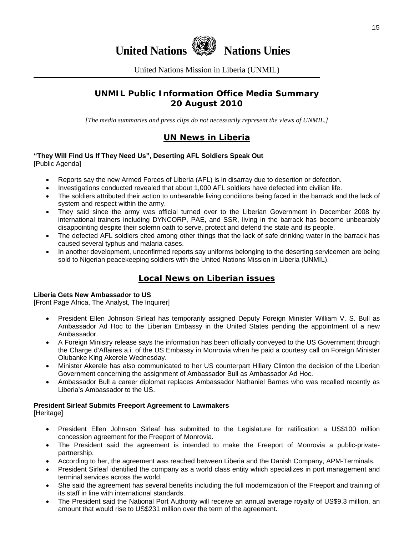



United Nations Mission in Liberia (UNMIL)

# **UNMIL Public Information Office Media Summary 20 August 2010**

*[The media summaries and press clips do not necessarily represent the views of UNMIL.]* 

# **UN News in Liberia**

#### **"They Will Find Us If They Need Us", Deserting AFL Soldiers Speak Out**  [Public Agenda]

- Reports say the new Armed Forces of Liberia (AFL) is in disarray due to desertion or defection.
- Investigations conducted revealed that about 1,000 AFL soldiers have defected into civilian life.
- The soldiers attributed their action to unbearable living conditions being faced in the barrack and the lack of system and respect within the army.
- They said since the army was official turned over to the Liberian Government in December 2008 by international trainers including DYNCORP, PAE, and SSR, living in the barrack has become unbearably disappointing despite their solemn oath to serve, protect and defend the state and its people.
- The defected AFL soldiers cited among other things that the lack of safe drinking water in the barrack has caused several typhus and malaria cases.
- In another development, unconfirmed reports say uniforms belonging to the deserting servicemen are being sold to Nigerian peacekeeping soldiers with the United Nations Mission in Liberia (UNMIL).

# **Local News on Liberian issues**

#### **Liberia Gets New Ambassador to US**

[Front Page Africa, The Analyst, The Inquirer]

- President Ellen Johnson Sirleaf has temporarily assigned Deputy Foreign Minister William V. S. Bull as Ambassador Ad Hoc to the Liberian Embassy in the United States pending the appointment of a new Ambassador.
- A Foreign Ministry release says the information has been officially conveyed to the US Government through the Charge d'Affaires a.i. of the US Embassy in Monrovia when he paid a courtesy call on Foreign Minister Olubanke King Akerele Wednesday.
- Minister Akerele has also communicated to her US counterpart Hillary Clinton the decision of the Liberian Government concerning the assignment of Ambassador Bull as Ambassador Ad Hoc.
- Ambassador Bull a career diplomat replaces Ambassador Nathaniel Barnes who was recalled recently as Liberia's Ambassador to the US.

#### **President Sirleaf Submits Freeport Agreement to Lawmakers**

[Heritage]

- President Ellen Johnson Sirleaf has submitted to the Legislature for ratification a US\$100 million concession agreement for the Freeport of Monrovia.
- The President said the agreement is intended to make the Freeport of Monrovia a public-privatepartnership.
- According to her, the agreement was reached between Liberia and the Danish Company, APM-Terminals.
- President Sirleaf identified the company as a world class entity which specializes in port management and terminal services across the world.
- She said the agreement has several benefits including the full modernization of the Freeport and training of its staff in line with international standards.
- The President said the National Port Authority will receive an annual average royalty of US\$9.3 million, an amount that would rise to US\$231 million over the term of the agreement.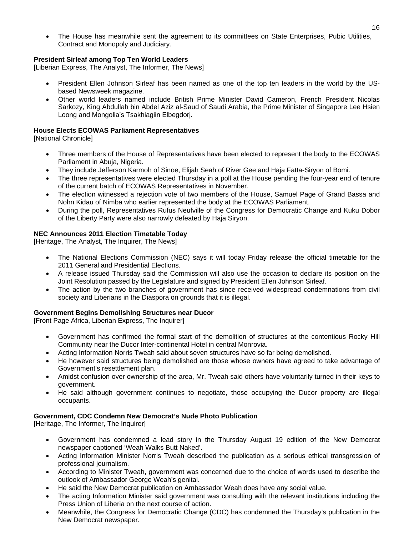• The House has meanwhile sent the agreement to its committees on State Enterprises, Pubic Utilities, Contract and Monopoly and Judiciary.

#### **President Sirleaf among Top Ten World Leaders**

[Liberian Express, The Analyst, The Informer, The News]

- President Ellen Johnson Sirleaf has been named as one of the top ten leaders in the world by the USbased Newsweek magazine.
- Other world leaders named include British Prime Minister David Cameron, French President Nicolas Sarkozy, King Abdullah bin Abdel Aziz al-Saud of Saudi Arabia, the Prime Minister of Singapore Lee Hsien Loong and Mongolia's Tsakhiagiin Elbegdorj.

#### **House Elects ECOWAS Parliament Representatives**

[National Chronicle]

- Three members of the House of Representatives have been elected to represent the body to the ECOWAS Parliament in Abuja, Nigeria.
- They include Jefferson Karmoh of Sinoe, Elijah Seah of River Gee and Haja Fatta-Siryon of Bomi.
- The three representatives were elected Thursday in a poll at the House pending the four-year end of tenure of the current batch of ECOWAS Representatives in November.
- The election witnessed a rejection vote of two members of the House, Samuel Page of Grand Bassa and Nohn Kidau of Nimba who earlier represented the body at the ECOWAS Parliament.
- During the poll, Representatives Rufus Neufville of the Congress for Democratic Change and Kuku Dobor of the Liberty Party were also narrowly defeated by Haja Siryon.

#### **NEC Announces 2011 Election Timetable Today**

[Heritage, The Analyst, The Inquirer, The News]

- The National Elections Commission (NEC) says it will today Friday release the official timetable for the 2011 General and Presidential Elections.
- A release issued Thursday said the Commission will also use the occasion to declare its position on the Joint Resolution passed by the Legislature and signed by President Ellen Johnson Sirleaf.
- The action by the two branches of government has since received widespread condemnations from civil society and Liberians in the Diaspora on grounds that it is illegal.

#### **Government Begins Demolishing Structures near Ducor**

[Front Page Africa, Liberian Express, The Inquirer]

- Government has confirmed the formal start of the demolition of structures at the contentious Rocky Hill Community near the Ducor Inter-continental Hotel in central Monrovia.
- Acting Information Norris Tweah said about seven structures have so far being demolished.
- He however said structures being demolished are those whose owners have agreed to take advantage of Government's resettlement plan.
- Amidst confusion over ownership of the area, Mr. Tweah said others have voluntarily turned in their keys to government.
- He said although government continues to negotiate, those occupying the Ducor property are illegal occupants.

#### **Government, CDC Condemn New Democrat's Nude Photo Publication**

[Heritage, The Informer, The Inquirer]

- Government has condemned a lead story in the Thursday August 19 edition of the New Democrat newspaper captioned 'Weah Walks Butt Naked'.
- Acting Information Minister Norris Tweah described the publication as a serious ethical transgression of professional journalism.
- According to Minister Tweah, government was concerned due to the choice of words used to describe the outlook of Ambassador George Weah's genital.
- He said the New Democrat publication on Ambassador Weah does have any social value.
- The acting Information Minister said government was consulting with the relevant institutions including the Press Union of Liberia on the next course of action.
- Meanwhile, the Congress for Democratic Change (CDC) has condemned the Thursday's publication in the New Democrat newspaper.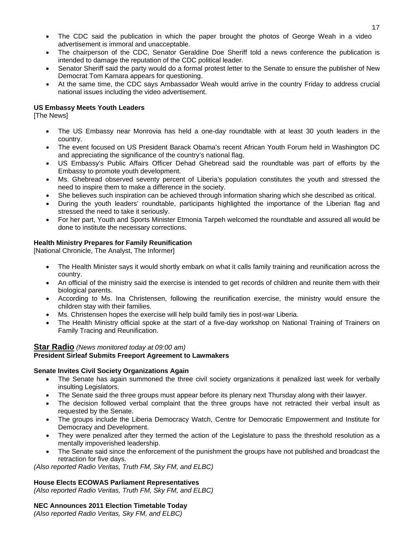- The CDC said the publication in which the paper brought the photos of George Weah in a video advertisement is immoral and unacceptable.
- The chairperson of the CDC, Senator Geraldine Doe Sheriff told a news conference the publication is intended to damage the reputation of the CDC political leader.
- Senator Sheriff said the party would do a formal protest letter to the Senate to ensure the publisher of New Democrat Tom Kamara appears for questioning.
- At the same time, the CDC says Ambassador Weah would arrive in the country Friday to address crucial national issues including the video advertisement.

## **US Embassy Meets Youth Leaders**

[The News]

- The US Embassy near Monrovia has held a one-day roundtable with at least 30 youth leaders in the country.
- The event focused on US President Barack Obama's recent African Youth Forum held in Washington DC and appreciating the significance of the country's national flag.
- US Embassy's Public Affairs Officer Dehad Ghebread said the roundtable was part of efforts by the Embassy to promote youth development.
- Ms. Ghebread observed seventy percent of Liberia's population constitutes the youth and stressed the need to inspire them to make a difference in the society.
- She believes such inspiration can be achieved through information sharing which she described as critical.
- During the youth leaders' roundtable, participants highlighted the importance of the Liberian flag and stressed the need to take it seriously.
- For her part, Youth and Sports Minister Etmonia Tarpeh welcomed the roundtable and assured all would be done to institute the necessary corrections.

#### **Health Ministry Prepares for Family Reunification**

[National Chronicle, The Analyst, The Informer]

- The Health Minister says it would shortly embark on what it calls family training and reunification across the country.
- An official of the ministry said the exercise is intended to get records of children and reunite them with their biological parents.
- According to Ms. Ina Christensen, following the reunification exercise, the ministry would ensure the children stay with their families.
- Ms. Christensen hopes the exercise will help build family ties in post-war Liberia.
- The Health Ministry official spoke at the start of a five-day workshop on National Training of Trainers on Family Tracing and Reunification.

#### **Star Radio** *(News monitored today at 09:00 am)*

#### **President Sirleaf Submits Freeport Agreement to Lawmakers**

#### **Senate Invites Civil Society Organizations Again**

- The Senate has again summoned the three civil society organizations it penalized last week for verbally insulting Legislators.
- The Senate said the three groups must appear before its plenary next Thursday along with their lawyer.
- The decision followed verbal complaint that the three groups have not retracted their verbal insult as requested by the Senate.
- The groups include the Liberia Democracy Watch, Centre for Democratic Empowerment and Institute for Democracy and Development.
- They were penalized after they termed the action of the Legislature to pass the threshold resolution as a mentally impoverished leadership.
- The Senate said since the enforcement of the punishment the groups have not published and broadcast the retraction for five days.

*(Also reported Radio Veritas, Truth FM, Sky FM, and ELBC)* 

#### **House Elects ECOWAS Parliament Representatives**

*(Also reported Radio Veritas, Truth FM, Sky FM, and ELBC)* 

#### **NEC Announces 2011 Election Timetable Today**

*(Also reported Radio Veritas, Sky FM, and ELBC)*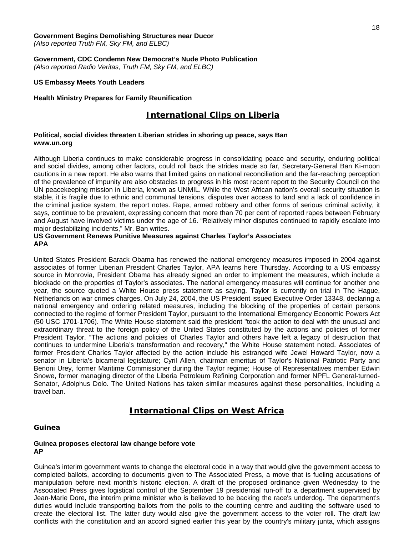#### **Government Begins Demolishing Structures near Ducor**

*(Also reported Truth FM, Sky FM, and ELBC)* 

#### **Government, CDC Condemn New Democrat's Nude Photo Publication**

*(Also reported Radio Veritas, Truth FM, Sky FM, and ELBC)* 

#### **US Embassy Meets Youth Leaders**

#### **Health Ministry Prepares for Family Reunification**

## **International Clips on Liberia**

#### **Political, social divides threaten Liberian strides in shoring up peace, says Ban www.un.org**

Although Liberia continues to make considerable progress in consolidating peace and security, enduring political and social divides, among other factors, could roll back the strides made so far, Secretary-General Ban Ki-moon cautions in a new report. He also warns that limited gains on national reconciliation and the far-reaching perception of the prevalence of impunity are also obstacles to progress in his most recent report to the Security Council on the UN peacekeeping mission in Liberia, known as UNMIL. While the West African nation's overall security situation is stable, it is fragile due to ethnic and communal tensions, disputes over access to land and a lack of confidence in the criminal justice system, the report notes. Rape, armed robbery and other forms of serious criminal activity, it says, continue to be prevalent, expressing concern that more than 70 per cent of reported rapes between February and August have involved victims under the age of 16. "Relatively minor disputes continued to rapidly escalate into major destabilizing incidents," Mr. Ban writes.

#### **US Government Renews Punitive Measures against Charles Taylor's Associates APA**

United States President Barack Obama has renewed the national emergency measures imposed in 2004 against associates of former Liberian President Charles Taylor, APA learns here Thursday. According to a US embassy source in Monrovia, President Obama has already signed an order to implement the measures, which include a blockade on the properties of Taylor's associates. The national emergency measures will continue for another one year, the source quoted a White House press statement as saying. Taylor is currently on trial in The Hague, Netherlands on war crimes charges. On July 24, 2004, the US President issued Executive Order 13348, declaring a national emergency and ordering related measures, including the blocking of the properties of certain persons connected to the regime of former President Taylor, pursuant to the International Emergency Economic Powers Act (50 USC 1701-1706). The White House statement said the president "took the action to deal with the unusual and extraordinary threat to the foreign policy of the United States constituted by the actions and policies of former President Taylor. "The actions and policies of Charles Taylor and others have left a legacy of destruction that continues to undermine Liberia's transformation and recovery," the White House statement noted. Associates of former President Charles Taylor affected by the action include his estranged wife Jewel Howard Taylor, now a senator in Liberia's bicameral legislature; Cyril Allen, chairman emeritus of Taylor's National Patriotic Party and Benoni Urey, former Maritime Commissioner during the Taylor regime; House of Representatives member Edwin Snowe, former managing director of the Liberia Petroleum Refining Corporation and former NPFL General-turned-Senator, Adolphus Dolo. The United Nations has taken similar measures against these personalities, including a travel ban.

# **International Clips on West Africa**

#### **Guinea**

#### **Guinea proposes electoral law change before vote AP**

Guinea's interim government wants to change the electoral code in a way that would give the government access to completed ballots, according to documents given to The Associated Press, a move that is fueling accusations of manipulation before next month's historic election. A draft of the proposed ordinance given Wednesday to the Associated Press gives logistical control of the September 19 presidential run-off to a department supervised by Jean-Marie Dore, the interim prime minister who is believed to be backing the race's underdog. The department's duties would include transporting ballots from the polls to the counting centre and auditing the software used to create the electoral list. The latter duty would also give the government access to the voter roll. The draft law conflicts with the constitution and an accord signed earlier this year by the country's military junta, which assigns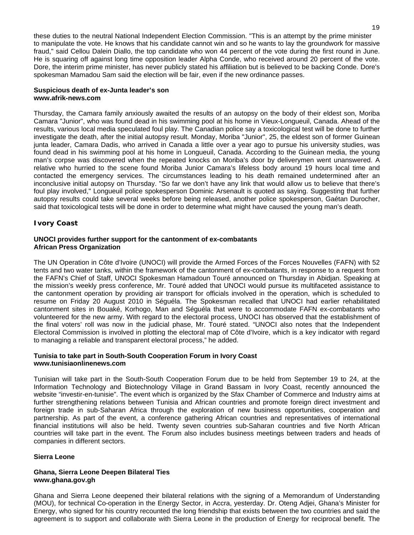these duties to the neutral National Independent Election Commission. "This is an attempt by the prime minister to manipulate the vote. He knows that his candidate cannot win and so he wants to lay the groundwork for massive fraud," said Cellou Dalein Diallo, the top candidate who won 44 percent of the vote during the first round in June. He is squaring off against long time opposition leader Alpha Conde, who received around 20 percent of the vote. Dore, the interim prime minister, has never publicly stated his affiliation but is believed to be backing Conde. Dore's spokesman Mamadou Sam said the election will be fair, even if the new ordinance passes.

#### **Suspicious death of ex-Junta leader's son www.afrik-news.com**

Thursday, the Camara family anxiously awaited the results of an autopsy on the body of their eldest son, Moriba Camara "Junior", who was found dead in his swimming pool at his home in Vieux-Longueuil, Canada. Ahead of the results, various local media speculated foul play. The Canadian police say a toxicological test will be done to further investigate the death, after the initial autopsy result. Monday, Moriba "Junior", 25, the eldest son of former Guinean junta leader, Camara Dadis, who arrived in Canada a little over a year ago to pursue his university studies, was found dead in his swimming pool at his home in Longueuil, Canada. According to the Guinean media, the young man's corpse was discovered when the repeated knocks on Moriba's door by deliverymen went unanswered. A relative who hurried to the scene found Moriba Junior Camara's lifeless body around 19 hours local time and contacted the emergency services. The circumstances leading to his death remained undetermined after an inconclusive initial autopsy on Thursday. "So far we don't have any link that would allow us to believe that there's foul play involved," Longueuil police spokesperson Dominic Arsenault is quoted as saying. Suggesting that further autopsy results could take several weeks before being released, another police spokesperson, Gaétan Durocher, said that toxicological tests will be done in order to determine what might have caused the young man's death.

#### **Ivory Coast**

#### **UNOCI provides further support for the cantonment of ex-combatants African Press Organization**

The UN Operation in Côte d'Ivoire (UNOCI) will provide the Armed Forces of the Forces Nouvelles (FAFN) with 52 tents and two water tanks, within the framework of the cantonment of ex-combatants, in response to a request from the FAFN's Chief of Staff, UNOCI Spokesman Hamadoun Touré announced on Thursday in Abidjan. Speaking at the mission's weekly press conference, Mr. Touré added that UNOCI would pursue its multifaceted assistance to the cantonment operation by providing air transport for officials involved in the operation, which is scheduled to resume on Friday 20 August 2010 in Séguéla. The Spokesman recalled that UNOCI had earlier rehabilitated cantonment sites in Bouaké, Korhogo, Man and Séguéla that were to accommodate FAFN ex-combatants who volunteered for the new army. With regard to the electoral process, UNOCI has observed that the establishment of the final voters' roll was now in the judicial phase, Mr. Touré stated. "UNOCI also notes that the Independent Electoral Commission is involved in plotting the electoral map of Côte d'Ivoire, which is a key indicator with regard to managing a reliable and transparent electoral process," he added.

#### **Tunisia to take part in South-South Cooperation Forum in Ivory Coast www.tunisiaonlinenews.com**

Tunisian will take part in the South-South Cooperation Forum due to be held from September 19 to 24, at the Information Technology and Biotechnology Village in Grand Bassam in Ivory Coast, recently announced the website "investir-en-tunisie". The event which is organized by the Sfax Chamber of Commerce and Industry aims at further strengthening relations between Tunisia and African countries and promote foreign direct investment and foreign trade in sub-Saharan Africa through the exploration of new business opportunities, cooperation and partnership. As part of the event, a conference gathering African countries and representatives of international financial institutions will also be held. Twenty seven countries sub-Saharan countries and five North African countries will take part in the event. The Forum also includes business meetings between traders and heads of companies in different sectors.

#### **Sierra Leone**

#### **Ghana, Sierra Leone Deepen Bilateral Ties www.ghana.gov.gh**

Ghana and Sierra Leone deepened their bilateral relations with the signing of a Memorandum of Understanding (MOU), for technical Co-operation in the Energy Sector, in Accra, yesterday. Dr. Oteng Adjei, Ghana's Minister for Energy, who signed for his country recounted the long friendship that exists between the two countries and said the agreement is to support and collaborate with Sierra Leone in the production of Energy for reciprocal benefit. The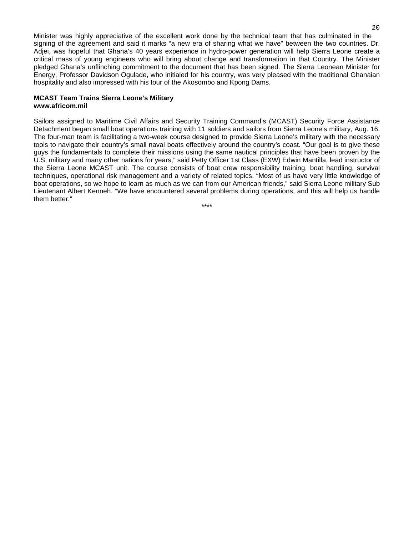Minister was highly appreciative of the excellent work done by the technical team that has culminated in the signing of the agreement and said it marks "a new era of sharing what we have" between the two countries. Dr. Adjei, was hopeful that Ghana's 40 years experience in hydro-power generation will help Sierra Leone create a critical mass of young engineers who will bring about change and transformation in that Country. The Minister pledged Ghana's unflinching commitment to the document that has been signed. The Sierra Leonean Minister for Energy, Professor Davidson Ogulade, who initialed for his country, was very pleased with the traditional Ghanaian hospitality and also impressed with his tour of the Akosombo and Kpong Dams.

#### **MCAST Team Trains Sierra Leone's Military www.africom.mil**

Sailors assigned to Maritime Civil Affairs and Security Training Command's (MCAST) Security Force Assistance Detachment began small boat operations training with 11 soldiers and sailors from Sierra Leone's military, Aug. 16. The four-man team is facilitating a two-week course designed to provide Sierra Leone's military with the necessary tools to navigate their country's small naval boats effectively around the country's coast. "Our goal is to give these guys the fundamentals to complete their missions using the same nautical principles that have been proven by the U.S. military and many other nations for years," said Petty Officer 1st Class (EXW) Edwin Mantilla, lead instructor of the Sierra Leone MCAST unit. The course consists of boat crew responsibility training, boat handling, survival techniques, operational risk management and a variety of related topics. "Most of us have very little knowledge of boat operations, so we hope to learn as much as we can from our American friends," said Sierra Leone military Sub Lieutenant Albert Kenneh. "We have encountered several problems during operations, and this will help us handle them better."

\*\*\*\*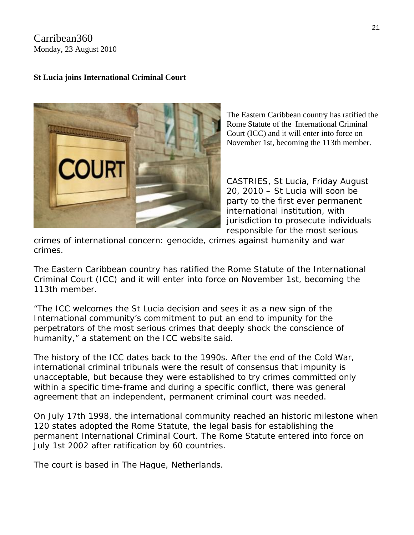Carribean360 Monday, 23 August 2010

# **St Lucia joins International Criminal Court**



The Eastern Caribbean country has ratified the Rome Statute of the [International Criminal](javascript:void(0))  [Court](javascript:void(0)) (ICC) and it will enter into force on November 1st, becoming the 113th member.

CASTRIES, St Lucia, Friday August 20, 2010 – St Lucia will soon be party to the first ever permanent international institution, with jurisdiction to prosecute individuals responsible for the most serious

crimes of international concern: genocide, crimes against humanity and war crimes.

The Eastern Caribbean country has ratified the Rome Statute of the International Criminal Court (ICC) and it will enter into force on November 1st, becoming the 113th member.

"The ICC welcomes the St Lucia decision and sees it as a new sign of the International community's commitment to put an end to impunity for the perpetrators of the most serious crimes that deeply shock the conscience of humanity," a statement on the ICC website said.

The history of the ICC dates back to the 1990s. After the end of the Cold War, international criminal tribunals were the result of consensus that impunity is unacceptable, but because they were established to try crimes committed only within a specific time-frame and during a specific conflict, there was general agreement that an independent, permanent criminal court was needed.

On July 17th 1998, the international community reached an historic milestone when 120 states adopted the Rome Statute, the legal basis for establishing the permanent International Criminal Court. The Rome Statute entered into force on July 1st 2002 after ratification by 60 countries.

The court is based in The Hague, Netherlands.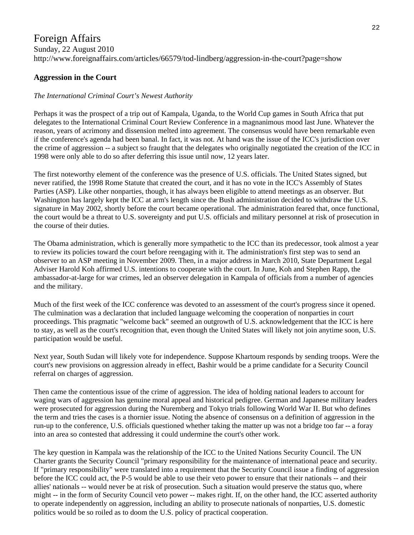# Foreign Affairs Sunday, 22 August 2010

# http://www.foreignaffairs.com/articles/66579/tod-lindberg/aggression-in-the-court?page=show

## **Aggression in the Court**

#### *The International Criminal Court's Newest Authority*

Perhaps it was the prospect of a trip out of Kampala, Uganda, to the World Cup games in South Africa that put delegates to the International Criminal Court Review Conference in a magnanimous mood last June. Whatever the reason, years of acrimony and dissension melted into agreement. The consensus would have been remarkable even if the conference's agenda had been banal. In fact, it was not. At hand was the issue of the ICC's jurisdiction over the crime of aggression -- a subject so fraught that the delegates who originally negotiated the creation of the ICC in 1998 were only able to do so after deferring this issue until now, 12 years later.

The first noteworthy element of the conference was the presence of U.S. officials. The United States signed, but never ratified, the 1998 Rome Statute that created the court, and it has no vote in the ICC's Assembly of States Parties (ASP). Like other nonparties, though, it has always been eligible to attend meetings as an observer. But Washington has largely kept the ICC at arm's length since the Bush administration decided to [withdraw](http://archives.cnn.com/2002/US/05/06/court.letter.text/index.html) the U.S. signature in May 2002, shortly before the court became operational. The administration feared that, once functional, the court would be a threat to U.S. sovereignty and put U.S. officials and military personnel at risk of prosecution in the course of their duties.

The Obama administration, which is generally more sympathetic to the ICC than its predecessor, took almost a year to review its policies toward the court before reengaging with it. The administration's first step was to send an observer to an ASP meeting in November 2009. Then, in a major [address](http://www.state.gov/s/l/releases/remarks/139119.htm) in March 2010, State Department Legal Adviser Harold Koh affirmed U.S. intentions to cooperate with the court. In June, Koh and Stephen Rapp, the ambassador-at-large for war crimes, led an observer delegation in Kampala of officials from a number of agencies and the military.

Much of the first week of the ICC conference was devoted to an assessment of the court's progress since it opened. The culmination was a [declaration](http://www.icc-cpi.int/iccdocs/asp_docs/Resolutions/RC-Decl.2-ENG.pdf) that included language welcoming the cooperation of nonparties in court proceedings. This pragmatic "welcome back" seemed an outgrowth of U.S. acknowledgement that the ICC is here to stay, as well as the court's recognition that, even though the United States will likely not join anytime soon, U.S. participation would be useful.

Next year, South Sudan will likely vote for independence. Suppose Khartoum responds by sending troops. Were the court's new provisions on aggression already in effect, Bashir would be a prime candidate for a Security Council referral on charges of aggression.

Then came the contentious issue of the crime of aggression. The idea of holding national leaders to account for waging wars of aggression has genuine moral appeal and historical pedigree. German and Japanese military leaders were prosecuted for aggression during the Nuremberg and Tokyo trials following World War II. But who defines the term and tries the cases is a thornier issue. Noting the absence of consensus on a definition of aggression in the run-up to the conference, U.S. officials questioned whether taking the matter up was not a bridge too far -- a foray into an area so contested that addressing it could undermine the court's other work.

The key question in Kampala was the relationship of the ICC to the United Nations Security Council. The UN Charter grants the Security Council "primary responsibility for the maintenance of international peace and security. If "primary responsibility" were translated into a requirement that the Security Council issue a finding of aggression before the ICC could act, the P-5 would be able to use their veto power to ensure that their nationals -- and their allies' nationals -- would never be at risk of prosecution. Such a situation would preserve the status quo, where might -- in the form of Security Council veto power -- makes right. If, on the other hand, the ICC asserted authority to operate independently on aggression, including an ability to prosecute nationals of nonparties, U.S. domestic politics would be so roiled as to doom the U.S. policy of practical cooperation.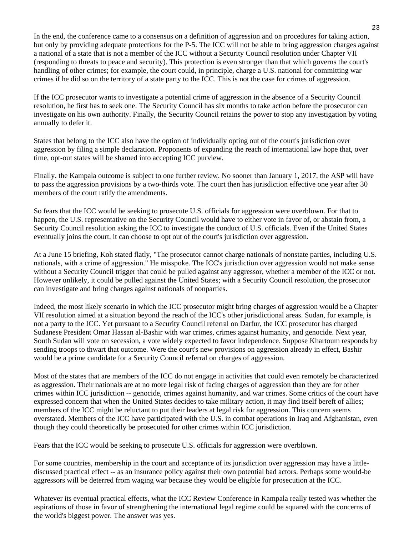In the end, the conference came to a consensus on a definition of aggression and on procedures for taking action, but only by providing adequate protections for the P-5. The ICC will not be able to bring aggression charges against a national of a state that is not a member of the ICC without a Security Council resolution under [Chapter VII](http://www.un.org/en/documents/charter/chapter7.shtml) (responding to threats to peace and security). This protection is even stronger than that which governs the court's handling of other crimes; for example, the court could, in principle, charge a U.S. national for committing war crimes if he did so on the territory of a state party to the ICC. This is not the case for crimes of aggression.

If the ICC prosecutor wants to investigate a potential crime of aggression in the absence of a Security Council resolution, he first has to seek one. The Security Council has six months to take action before the prosecutor can investigate on his own authority. Finally, the Security Council retains the power to stop any investigation by voting annually to defer it.

States that belong to the ICC also have the option of individually opting out of the court's jurisdiction over aggression by filing a simple declaration. Proponents of expanding the reach of international law hope that, over time, opt-out states will be shamed into accepting ICC purview.

Finally, the Kampala outcome is subject to one further review. No sooner than January 1, 2017, the ASP will have to pass the aggression provisions by a two-thirds vote. The court then has jurisdiction effective one year after 30 members of the court ratify the amendments.

So fears that the ICC would be seeking to prosecute U.S. officials for aggression were overblown. For that to happen, the U.S. representative on the Security Council would have to either vote in favor of, or abstain from, a Security Council resolution asking the ICC to investigate the conduct of U.S. officials. Even if the United States eventually joins the court, it can choose to opt out of the court's jurisdiction over aggression.

At a June 15 [briefing,](http://www.state.gov/s/wci/us_releases/remarks/143178.htm) Koh stated flatly, "The prosecutor cannot charge nationals of nonstate parties, including U.S. nationals, with a crime of aggression." He misspoke. The ICC's jurisdiction over aggression would not make sense without a Security Council trigger that could be pulled against any aggressor, whether a member of the ICC or not. However unlikely, it could be pulled against the United States; with a Security Council resolution, the prosecutor can investigate and bring charges against nationals of nonparties.

Indeed, the most likely scenario in which the ICC prosecutor might bring charges of aggression would be a Chapter VII resolution aimed at a situation beyond the reach of the ICC's other jurisdictional areas. Sudan, for example, is not a party to the ICC. Yet pursuant to a Security Council [referral](http://www.un.org/News/Press/docs/2005/sc8351.doc.htm) on Darfur, the ICC prosecutor has charged Sudanese President Omar Hassan al-Bashir with war crimes, crimes against [humanity](http://www.icc-cpi.int/iccdocs/doc/doc639078.pdf), and [genocide](http://www.icc-cpi.int/menus/icc/press%20and%20media/press%20releases/pr557). Next year, South Sudan will vote on secession, a vote widely expected to favor independence. Suppose Khartoum responds by sending troops to thwart that outcome. Were the court's new provisions on aggression already in effect, Bashir would be a prime candidate for a Security Council referral on charges of aggression.

Most of the states that are members of the ICC do not engage in activities that could even remotely be characterized as aggression. Their nationals are at no more legal risk of facing charges of aggression than they are for other crimes within ICC jurisdiction -- genocide, crimes against humanity, and war crimes. Some critics of the court have expressed concern that when the United States decides to take military action, it may find itself bereft of allies; members of the ICC might be reluctant to put their leaders at legal risk for aggression. This concern seems overstated. Members of the ICC have participated with the U.S. in combat operations in Iraq and Afghanistan, even though they could theoretically be prosecuted for other crimes within ICC jurisdiction.

Fears that the ICC would be seeking to prosecute U.S. officials for aggression were overblown.

For some countries, membership in the court and acceptance of its jurisdiction over aggression may have a littlediscussed practical effect -- as an insurance policy against their own potential bad actors. Perhaps some would-be aggressors will be deterred from waging war because they would be eligible for prosecution at the ICC.

Whatever its eventual practical effects, what the ICC Review Conference in Kampala really tested was whether the aspirations of those in favor of strengthening the international legal regime could be squared with the concerns of the world's biggest power. The answer was yes.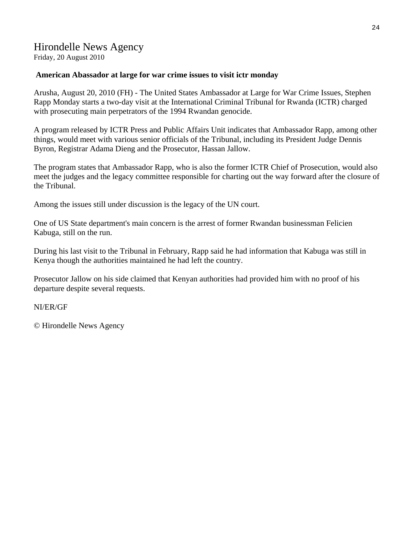# Hirondelle News Agency

Friday, 20 August 2010

## **American Abassador at large for war crime issues to visit ictr monday**

Arusha, August 20, 2010 (FH) - The United States Ambassador at Large for War Crime Issues, Stephen Rapp Monday starts a two-day visit at the International Criminal Tribunal for Rwanda (ICTR) charged with prosecuting main perpetrators of the 1994 Rwandan genocide.

A program released by ICTR Press and Public Affairs Unit indicates that Ambassador Rapp, among other things, would meet with various senior officials of the Tribunal, including its President Judge Dennis Byron, Registrar Adama Dieng and the Prosecutor, Hassan Jallow.

The program states that Ambassador Rapp, who is also the former ICTR Chief of Prosecution, would also meet the judges and the legacy committee responsible for charting out the way forward after the closure of the Tribunal.

Among the issues still under discussion is the legacy of the UN court.

One of US State department's main concern is the arrest of former Rwandan businessman Felicien Kabuga, still on the run.

During his last visit to the Tribunal in February, Rapp said he had information that Kabuga was still in Kenya though the authorities maintained he had left the country.

Prosecutor Jallow on his side claimed that Kenyan authorities had provided him with no proof of his departure despite several requests.

NI/ER/GF

© Hirondelle News Agency